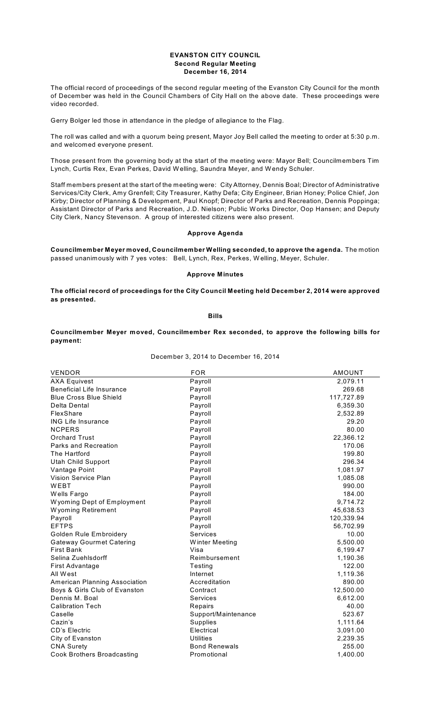### **EVANSTON CITY COUNCIL Second Regular Meeting December 16, 2014**

The official record of proceedings of the second regular meeting of the Evanston City Council for the month of December was held in the Council Chambers of City Hall on the above date. These proceedings were video recorded.

Gerry Bolger led those in attendance in the pledge of allegiance to the Flag.

The roll was called and with a quorum being present, Mayor Joy Bell called the meeting to order at 5:30 p.m. and welcomed everyone present.

Those present from the governing body at the start of the meeting were: Mayor Bell; Councilmembers Tim Lynch, Curtis Rex, Evan Perkes, David W elling, Saundra Meyer, and Wendy Schuler.

Staff members present at the start of the meeting were: City Attorney, Dennis Boal; Director of Administrative Services/City Clerk, Amy Grenfell; City Treasurer, Kathy Defa; City Engineer, Brian Honey; Police Chief, Jon Kirby; Director of Planning & Development, Paul Knopf; Director of Parks and Recreation, Dennis Poppinga; Assistant Director of Parks and Recreation, J.D. Nielson; Public W orks Director, Oop Hansen; and Deputy City Clerk, Nancy Stevenson. A group of interested citizens were also present.

## **Approve Agenda**

**Councilmember Meyer moved, Councilmember Welling seconded, to approve the agenda.** The motion passed unanimously with 7 yes votes: Bell, Lynch, Rex, Perkes, W elling, Meyer, Schuler.

# **Approve Minutes**

**The official record of proceedings for the City Council Meeting held December 2, 2014 were approved as presented.**

**Bills**

**Councilmember Meyer moved, Councilmember Rex seconded, to approve the following bills for payment:**

December 3, 2014 to December 16, 2014

| <b>VENDOR</b>                     | <b>FOR</b>           | <b>AMOUNT</b> |
|-----------------------------------|----------------------|---------------|
| <b>AXA Equivest</b>               | Payroll              | 2,079.11      |
| <b>Beneficial Life Insurance</b>  | Payroll              | 269.68        |
| <b>Blue Cross Blue Shield</b>     | Payroll              | 117,727.89    |
| Delta Dental                      | Payroll              | 6,359.30      |
| FlexShare                         | Payroll              | 2,532.89      |
| <b>ING Life Insurance</b>         | Payroll              | 29.20         |
| <b>NCPERS</b>                     | Payroll              | 80.00         |
| <b>Orchard Trust</b>              | Payroll              | 22,366.12     |
| Parks and Recreation              | Payroll              | 170.06        |
| The Hartford                      | Payroll              | 199.80        |
| <b>Utah Child Support</b>         | Payroll              | 296.34        |
| Vantage Point                     | Payroll              | 1,081.97      |
| Vision Service Plan               | Payroll              | 1,085.08      |
| WEBT                              | Payroll              | 990.00        |
| Wells Fargo                       | Payroll              | 184.00        |
| Wyoming Dept of Employment        | Payroll              | 9,714.72      |
| Wyoming Retirement                | Payroll              | 45,638.53     |
| Payroll                           | Payroll              | 120,339.94    |
| <b>EFTPS</b>                      | Payroll              | 56,702.99     |
| Golden Rule Embroidery            | <b>Services</b>      | 10.00         |
| <b>Gateway Gourmet Catering</b>   | Winter Meeting       | 5,500.00      |
| <b>First Bank</b>                 | Visa                 | 6,199.47      |
| Selina Zuehlsdorff                | Reimbursement        | 1,190.36      |
| First Advantage                   | Testing              | 122.00        |
| All West                          | Internet             | 1,119.36      |
| American Planning Association     | Accreditation        | 890.00        |
| Boys & Girls Club of Evanston     | Contract             | 12,500.00     |
| Dennis M. Boal                    | Services             | 6,612.00      |
| <b>Calibration Tech</b>           | Repairs              | 40.00         |
| Caselle                           | Support/Maintenance  | 523.67        |
| Cazin's                           | <b>Supplies</b>      | 1,111.64      |
| <b>CD's Electric</b>              | Electrical           | 3,091.00      |
| City of Evanston                  | Utilities            | 2,239.35      |
| <b>CNA Surety</b>                 | <b>Bond Renewals</b> | 255.00        |
| <b>Cook Brothers Broadcasting</b> | Promotional          | 1,400.00      |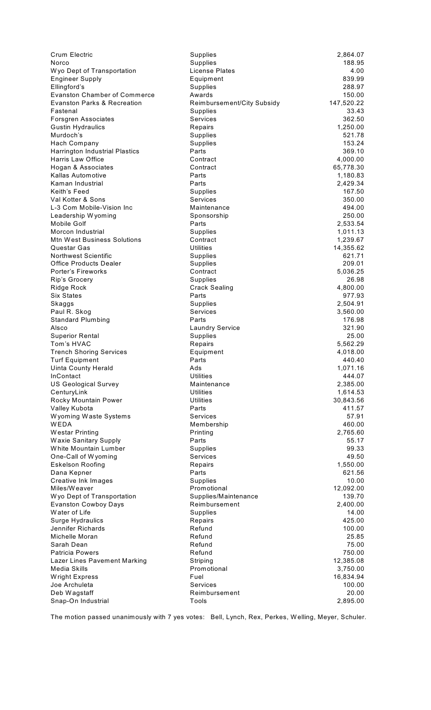| <b>Crum Electric</b>                                | <b>Supplies</b>                      | 2,864.07              |
|-----------------------------------------------------|--------------------------------------|-----------------------|
| Norco                                               | <b>Supplies</b>                      | 188.95                |
| Wyo Dept of Transportation                          | License Plates                       | 4.00                  |
| <b>Engineer Supply</b>                              | Equipment                            | 839.99                |
| Ellingford's<br><b>Evanston Chamber of Commerce</b> | <b>Supplies</b>                      | 288.97                |
| <b>Evanston Parks &amp; Recreation</b>              | Awards<br>Reimbursement/City Subsidy | 150.00<br>147,520.22  |
| Fastenal                                            | Supplies                             | 33.43                 |
| <b>Forsgren Associates</b>                          | Services                             | 362.50                |
| <b>Gustin Hydraulics</b>                            | Repairs                              | 1,250.00              |
| Murdoch's                                           | <b>Supplies</b>                      | 521.78                |
| Hach Company                                        | <b>Supplies</b>                      | 153.24                |
| <b>Harrington Industrial Plastics</b>               | Parts                                | 369.10                |
| Harris Law Office                                   | Contract                             | 4,000.00              |
| Hogan & Associates                                  | Contract                             | 65,778.30             |
| Kallas Automotive                                   | Parts                                | 1,180.83              |
| Kaman Industrial                                    | Parts                                | 2,429.34              |
| Keith's Feed                                        | Supplies                             | 167.50                |
| Val Kotter & Sons                                   | Services                             | 350.00                |
| L-3 Com Mobile-Vision Inc                           | Maintenance                          | 494.00                |
| Leadership Wyoming<br>Mobile Golf                   | Sponsorship<br>Parts                 | 250.00<br>2,533.54    |
| Morcon Industrial                                   | Supplies                             | 1,011.13              |
| Mtn West Business Solutions                         | Contract                             | 1,239.67              |
| Questar Gas                                         | Utilities                            | 14,355.62             |
| <b>Northwest Scientific</b>                         | Supplies                             | 621.71                |
| <b>Office Products Dealer</b>                       | <b>Supplies</b>                      | 209.01                |
| Porter's Fireworks                                  | Contract                             | 5,036.25              |
| Rip's Grocery                                       | <b>Supplies</b>                      | 26.98                 |
| Ridge Rock                                          | <b>Crack Sealing</b>                 | 4,800.00              |
| <b>Six States</b>                                   | Parts                                | 977.93                |
| Skaggs                                              | Supplies                             | 2,504.91              |
| Paul R. Skog                                        | Services                             | 3,560.00              |
| <b>Standard Plumbing</b>                            | Parts                                | 176.98                |
| Alsco                                               | <b>Laundry Service</b>               | 321.90                |
| <b>Superior Rental</b>                              | Supplies                             | 25.00                 |
| Tom's HVAC<br><b>Trench Shoring Services</b>        | Repairs<br>Equipment                 | 5,562.29<br>4,018.00  |
| <b>Turf Equipment</b>                               | Parts                                | 440.40                |
| <b>Uinta County Herald</b>                          | Ads                                  | 1,071.16              |
| <b>InContact</b>                                    | Utilities                            | 444.07                |
| <b>US Geological Survey</b>                         | Maintenance                          | 2,385.00              |
| CenturyLink                                         | Utilities                            | 1,614.53              |
| Rocky Mountain Power                                | <b>Utilities</b>                     | 30,843.56             |
| Valley Kubota                                       | Parts                                | 411.57                |
| Wyoming Waste Systems                               | Services                             | 57.91                 |
| WEDA                                                | Membership                           | 460.00                |
| Westar Printing                                     | Printing                             | 2,765.60              |
| Waxie Sanitary Supply                               | Parts                                | 55.17                 |
| White Mountain Lumber                               | Supplies                             | 99.33                 |
| One-Call of Wyoming<br><b>Eskelson Roofing</b>      | <b>Services</b><br>Repairs           | 49.50<br>1,550.00     |
| Dana Kepner                                         | Parts                                | 621.56                |
| <b>Creative Ink Images</b>                          | Supplies                             | 10.00                 |
| Miles/Weaver                                        | Promotional                          | 12,092.00             |
| Wyo Dept of Transportation                          | Supplies/Maintenance                 | 139.70                |
| <b>Evanston Cowboy Days</b>                         | Reimbursement                        | 2,400.00              |
| Water of Life                                       | <b>Supplies</b>                      | 14.00                 |
| Surge Hydraulics                                    | Repairs                              | 425.00                |
| Jennifer Richards                                   | Refund                               | 100.00                |
| Michelle Moran                                      | Refund                               | 25.85                 |
| Sarah Dean                                          | Refund                               | 75.00                 |
| <b>Patricia Powers</b>                              | Refund                               | 750.00                |
| Lazer Lines Pavement Marking<br>Media Skills        | Striping<br>Promotional              | 12,385.08<br>3,750.00 |
| Wright Express                                      | Fuel                                 | 16,834.94             |
| Joe Archuleta                                       | Services                             | 100.00                |
| Deb Wagstaff                                        | Reimbursement                        | 20.00                 |
| Snap-On Industrial                                  | Tools                                | 2,895.00              |
|                                                     |                                      |                       |

The motion passed unanimously with 7 yes votes: Bell, Lynch, Rex, Perkes, W elling, Meyer, Schuler.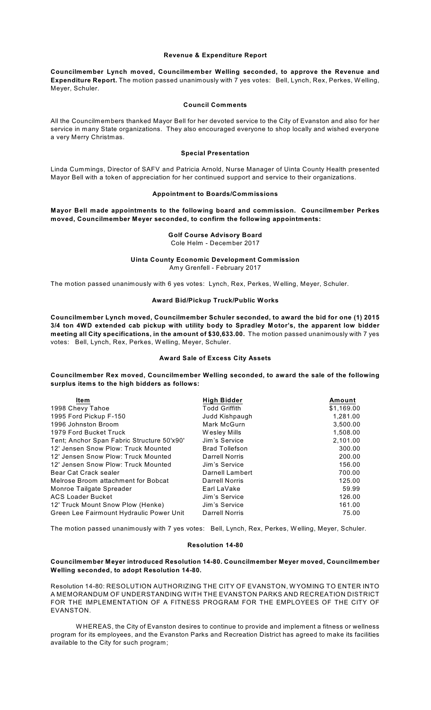### **Revenue & Expenditure Report**

**Councilmember Lynch moved, Councilmember Welling seconded, to approve the Revenue and Expenditure Report.** The motion passed unanimously with 7 yes votes: Bell, Lynch, Rex, Perkes, W elling, Meyer, Schuler.

## **Council Comments**

All the Councilmembers thanked Mayor Bell for her devoted service to the City of Evanston and also for her service in many State organizations. They also encouraged everyone to shop locally and wished everyone a very Merry Christmas.

### **Special Presentation**

Linda Cummings, Director of SAFV and Patricia Arnold, Nurse Manager of Uinta County Health presented Mayor Bell with a token of appreciation for her continued support and service to their organizations.

### **Appointment to Boards/Commissions**

**Mayor Bell made appointments to the following board and commission. Councilmember Perkes moved, Councilmember Meyer seconded, to confirm the following appointments:**

## **Golf Course Advisory Board** Cole Helm - December 2017

#### **Uinta County Economic Development Commission** Amy Grenfell - February 2017

The motion passed unanimously with 6 yes votes: Lynch, Rex, Perkes, W elling, Meyer, Schuler.

### **Award Bid/Pickup Truck/Public Works**

**Councilmember Lynch moved, Councilmember Schuler seconded, to award the bid for one (1) 2015 3/4 ton 4WD extended cab pickup with utility body to Spradley Motor's, the apparent low bidder meeting all City specifications, in the amount of \$30,633.00.** The motion passed unanimously with 7 yes votes: Bell, Lynch, Rex, Perkes, W elling, Meyer, Schuler.

#### **Award Sale of Excess City Assets**

**Councilmember Rex moved, Councilmember Welling seconded, to award the sale of the following surplus items to the high bidders as follows:**

| Item                                       | <b>High Bidder</b>    | Amount     |
|--------------------------------------------|-----------------------|------------|
| 1998 Chevy Tahoe                           | <b>Todd Griffith</b>  | \$1,169.00 |
| 1995 Ford Pickup F-150                     | Judd Kishpaugh        | 1,281.00   |
| 1996 Johnston Broom                        | Mark McGurn           | 3,500.00   |
| 1979 Ford Bucket Truck                     | Wesley Mills          | 1,508.00   |
| Tent; Anchor Span Fabric Structure 50'x90' | Jim's Service         | 2,101.00   |
| 12' Jensen Snow Plow: Truck Mounted        | <b>Brad Tollefson</b> | 300.00     |
| 12' Jensen Snow Plow: Truck Mounted        | Darrell Norris        | 200.00     |
| 12' Jensen Snow Plow: Truck Mounted        | Jim's Service         | 156.00     |
| Bear Cat Crack sealer                      | Darnell Lambert       | 700.00     |
| Melrose Broom attachment for Bobcat        | <b>Darrell Norris</b> | 125.00     |
| Monroe Tailgate Spreader                   | Earl LaVake           | 59.99      |
| <b>ACS Loader Bucket</b>                   | Jim's Service         | 126.00     |
| 12' Truck Mount Snow Plow (Henke)          | Jim's Service         | 161.00     |
| Green Lee Fairmount Hydraulic Power Unit   | <b>Darrell Norris</b> | 75.00      |

The motion passed unanimously with 7 yes votes: Bell, Lynch, Rex, Perkes, W elling, Meyer, Schuler.

#### **Resolution 14-80**

### **Councilmember Meyer introduced Resolution 14-80. Councilmember Meyer moved, Councilmember Welling seconded, to adopt Resolution 14-80.**

Resolution 14-80: RESOLUTION AUTHORIZING THE CITY OF EVANSTON, W YOMING TO ENTER INTO A MEMORANDUM OF UNDERSTANDING W ITH THE EVANSTON PARKS AND RECREATION DISTRICT FOR THE IMPLEMENTATION OF A FITNESS PROGRAM FOR THE EMPLOYEES OF THE CITY OF EVANSTON.

W HEREAS, the City of Evanston desires to continue to provide and implement a fitness or wellness program for its employees, and the Evanston Parks and Recreation District has agreed to make its facilities available to the City for such program;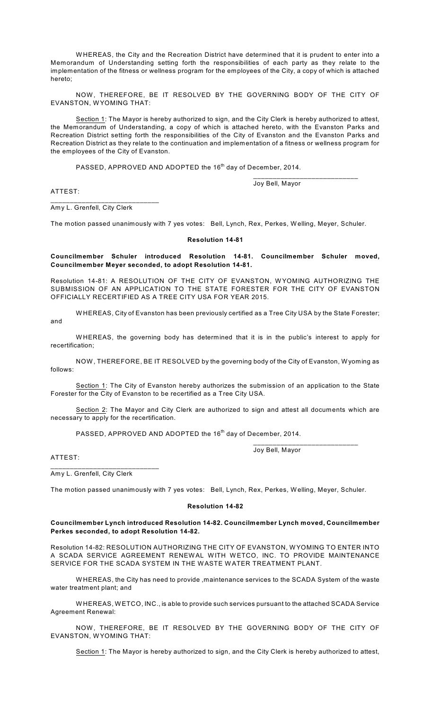W HEREAS, the City and the Recreation District have determined that it is prudent to enter into a Memorandum of Understanding setting forth the responsibilities of each party as they relate to the implementation of the fitness or wellness program for the employees of the City, a copy of which is attached hereto;

NOW , THEREFORE, BE IT RESOLVED BY THE GOVERNING BODY OF THE CITY OF EVANSTON, WYOMING THAT:

Section 1: The Mayor is hereby authorized to sign, and the City Clerk is hereby authorized to attest, the Memorandum of Understanding, a copy of which is attached hereto, with the Evanston Parks and Recreation District setting forth the responsibilities of the City of Evanston and the Evanston Parks and Recreation District as they relate to the continuation and implementation of a fitness or wellness program for the employees of the City of Evanston.

<code>PASSED</code>, <code>APPROVED</code> AND <code>ADOPTED</code> the 16<sup>th</sup> day of December, 2014.

Joy Bell, Mayor

\_\_\_\_\_\_\_\_\_\_\_\_\_\_\_\_\_\_\_\_\_\_\_\_\_\_\_

ATTEST:

Amy L. Grenfell, City Clerk

\_\_\_\_\_\_\_\_\_\_\_\_\_\_\_\_\_\_\_\_\_\_\_\_\_\_\_\_

The motion passed unanimously with 7 yes votes: Bell, Lynch, Rex, Perkes, W elling, Meyer, Schuler.

# **Resolution 14-81**

**Councilmember Schuler introduced Resolution 14-81. Councilmember Schuler moved, Councilmember Meyer seconded, to adopt Resolution 14-81.**

Resolution 14-81: A RESOLUTION OF THE CITY OF EVANSTON, W YOMING AUTHORIZING THE SUBMISSION OF AN APPLICATION TO THE STATE FORESTER FOR THE CITY OF EVANSTON OFFICIALLY RECERTIFIED AS A TREE CITY USA FOR YEAR 2015.

W HEREAS, City of Evanston has been previously certified as a Tree City USA by the State Forester; and

W HEREAS, the governing body has determined that it is in the public's interest to apply for recertification;

NOW , THEREFORE, BE IT RESOLVED by the governing body of the City of Evanston, W yoming as follows:

Section 1: The City of Evanston hereby authorizes the submission of an application to the State Forester for the City of Evanston to be recertified as a Tree City USA.

Section 2: The Mayor and City Clerk are authorized to sign and attest all documents which are necessary to apply for the recertification.

<code>PASSED</code>, <code>APPROVED</code> AND <code>ADOPTED</code> the 16<sup>th</sup> day of December, 2014.

Joy Bell, Mayor

\_\_\_\_\_\_\_\_\_\_\_\_\_\_\_\_\_\_\_\_\_\_\_\_\_\_\_

ATTEST:

Amy L. Grenfell, City Clerk

\_\_\_\_\_\_\_\_\_\_\_\_\_\_\_\_\_\_\_\_\_\_\_\_\_\_\_\_

The motion passed unanimously with 7 yes votes: Bell, Lynch, Rex, Perkes, W elling, Meyer, Schuler.

### **Resolution 14-82**

### **Councilmember Lynch introduced Resolution 14-82. Councilmember Lynch moved, Councilmember Perkes seconded, to adopt Resolution 14-82.**

Resolution 14-82: RESOLUTION AUTHORIZING THE CITY OF EVANSTON, W YOMING TO ENTER INTO A SCADA SERVICE AGREEMENT RENEW AL WITH W ETCO, INC. TO PROVIDE MAINTENANCE SERVICE FOR THE SCADA SYSTEM IN THE WASTE WATER TREATMENT PLANT.

W HEREAS, the City has need to provide ,maintenance services to the SCADA System of the waste water treatment plant; and

W HEREAS, W ETCO, INC., is able to provide such services pursuant to the attached SCADA Service Agreement Renewal:

NOW, THEREFORE, BE IT RESOLVED BY THE GOVERNING BODY OF THE CITY OF EVANSTON, WYOMING THAT:

Section 1: The Mayor is hereby authorized to sign, and the City Clerk is hereby authorized to attest,